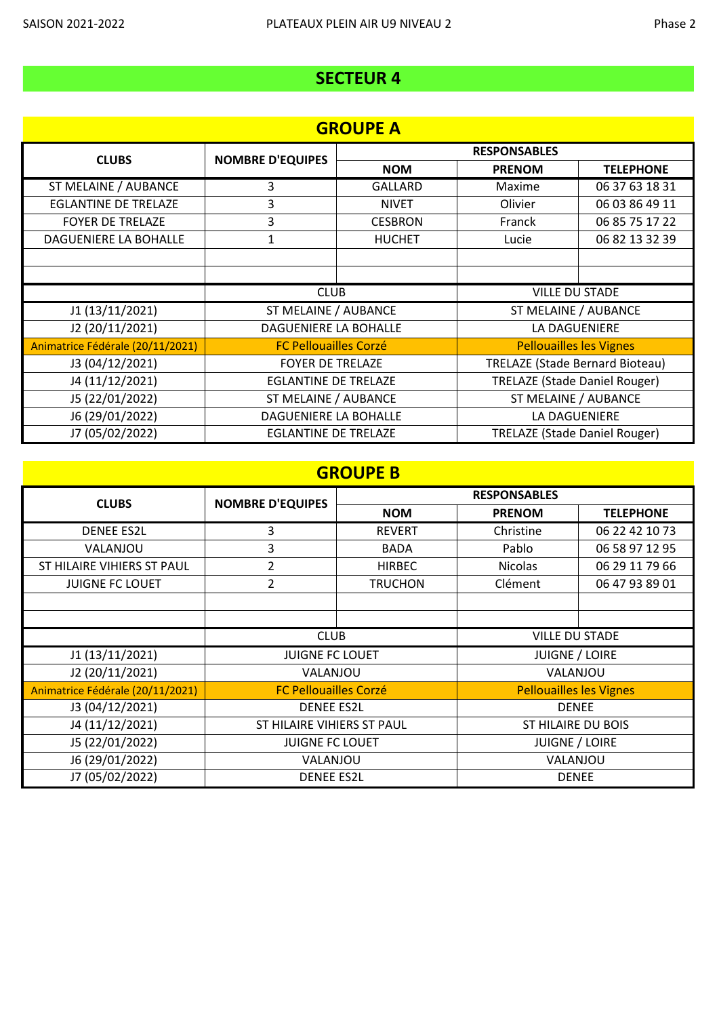| <b>GROUPE A</b>                  |                              |                     |                                        |                       |
|----------------------------------|------------------------------|---------------------|----------------------------------------|-----------------------|
| <b>CLUBS</b>                     | <b>NOMBRE D'EQUIPES</b>      | <b>RESPONSABLES</b> |                                        |                       |
|                                  |                              | <b>NOM</b>          | <b>PRENOM</b>                          | <b>TELEPHONE</b>      |
| ST MELAINE / AUBANCE             | 3                            | GALLARD             | Maxime                                 | 06 37 63 18 31        |
| <b>EGLANTINE DE TRELAZE</b>      | 3                            | <b>NIVET</b>        | Olivier                                | 06 03 86 49 11        |
| <b>FOYER DE TRELAZE</b>          | 3                            | <b>CESBRON</b>      | Franck                                 | 06 85 75 17 22        |
| DAGUENIERE LA BOHALLE            | 1                            | <b>HUCHET</b>       | Lucie                                  | 06 82 13 32 39        |
|                                  |                              |                     |                                        |                       |
|                                  |                              |                     |                                        |                       |
|                                  | <b>CLUB</b>                  |                     |                                        | <b>VILLE DU STADE</b> |
| J1 (13/11/2021)                  | ST MELAINE / AUBANCE         |                     |                                        | ST MELAINE / AUBANCE  |
| J2 (20/11/2021)                  | DAGUENIERE LA BOHALLE        |                     | LA DAGUENIERE                          |                       |
| Animatrice Fédérale (20/11/2021) | <b>FC Pellouailles Corzé</b> |                     | <b>Pellouailles les Vignes</b>         |                       |
| J3 (04/12/2021)                  | <b>FOYER DE TRELAZE</b>      |                     | <b>TRELAZE (Stade Bernard Bioteau)</b> |                       |
| J4 (11/12/2021)                  | <b>EGLANTINE DE TRELAZE</b>  |                     | <b>TRELAZE (Stade Daniel Rouger)</b>   |                       |
| J5 (22/01/2022)                  | ST MELAINE / AUBANCE         |                     | ST MELAINE / AUBANCE                   |                       |
| J6 (29/01/2022)                  | DAGUENIERE LA BOHALLE        |                     | LA DAGUENIERE                          |                       |
| J7 (05/02/2022)                  | <b>EGLANTINE DE TRELAZE</b>  |                     | <b>TRELAZE (Stade Daniel Rouger)</b>   |                       |

## **GROUPE B**

| <b>CLUBS</b>                     | <b>NOMBRE D'EQUIPES</b>      | <b>RESPONSABLES</b> |                                |                  |
|----------------------------------|------------------------------|---------------------|--------------------------------|------------------|
|                                  |                              | <b>NOM</b>          | <b>PRENOM</b>                  | <b>TELEPHONE</b> |
| <b>DENEE ES2L</b>                | 3                            | <b>REVERT</b>       | Christine                      | 06 22 42 10 73   |
| VALANJOU                         | 3                            | <b>BADA</b>         | Pablo                          | 06 58 97 12 95   |
| ST HILAIRE VIHIERS ST PAUL       | $\overline{2}$               | <b>HIRBEC</b>       | <b>Nicolas</b>                 | 06 29 11 79 66   |
| <b>JUIGNE FC LOUET</b>           | $\overline{2}$               | <b>TRUCHON</b>      | Clément                        | 06 47 93 89 01   |
|                                  |                              |                     |                                |                  |
|                                  |                              |                     |                                |                  |
|                                  | <b>CLUB</b>                  |                     | <b>VILLE DU STADE</b>          |                  |
| J1 (13/11/2021)                  | <b>JUIGNE FC LOUET</b>       |                     | <b>JUIGNE / LOIRE</b>          |                  |
| J2 (20/11/2021)                  | VALANJOU                     |                     | VALANJOU                       |                  |
| Animatrice Fédérale (20/11/2021) | <b>FC Pellouailles Corzé</b> |                     | <b>Pellouailles les Vignes</b> |                  |
| J3 (04/12/2021)                  | <b>DENEE ES2L</b>            |                     | <b>DENEE</b>                   |                  |
| J4 (11/12/2021)                  | ST HILAIRE VIHIERS ST PAUL   |                     | ST HILAIRE DU BOIS             |                  |
| J5 (22/01/2022)                  | <b>JUIGNE FC LOUET</b>       |                     | <b>JUIGNE / LOIRE</b>          |                  |
| J6 (29/01/2022)                  | VALANJOU                     |                     | VALANJOU                       |                  |
| J7 (05/02/2022)                  | <b>DENEE ES2L</b>            |                     | <b>DENEE</b>                   |                  |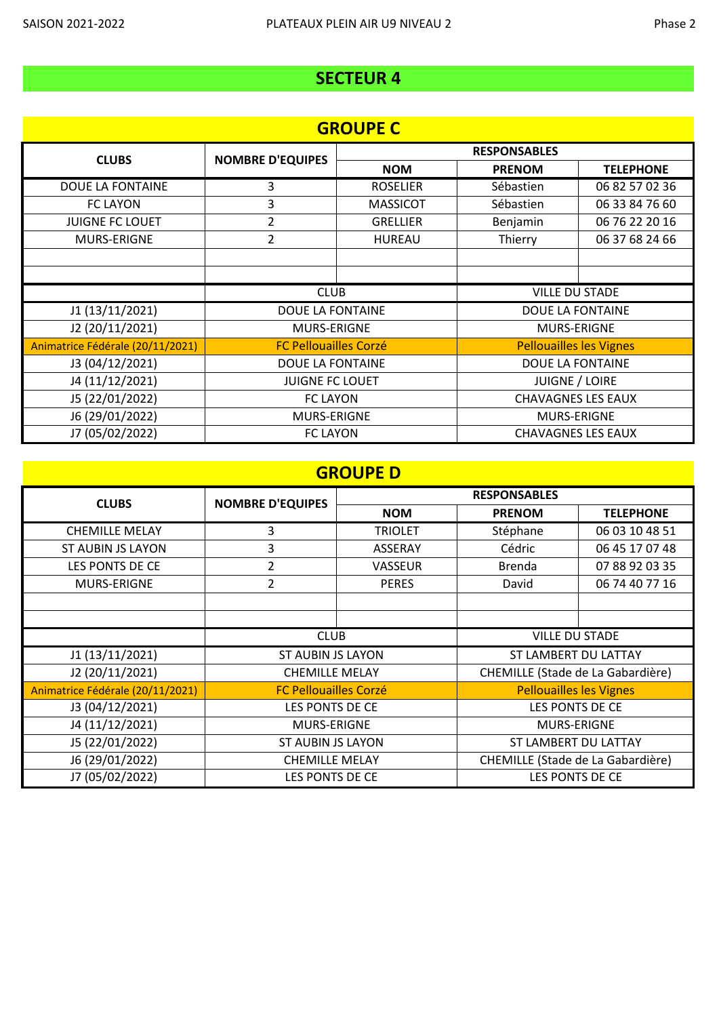| <b>GROUPE C</b>                  |                              |                     |                                |                  |  |
|----------------------------------|------------------------------|---------------------|--------------------------------|------------------|--|
| <b>CLUBS</b>                     | <b>NOMBRE D'EQUIPES</b>      | <b>RESPONSABLES</b> |                                |                  |  |
|                                  |                              | <b>NOM</b>          | <b>PRENOM</b>                  | <b>TELEPHONE</b> |  |
| DOUE LA FONTAINE                 | 3                            | <b>ROSELIER</b>     | Sébastien                      | 06 82 57 02 36   |  |
| <b>FC LAYON</b>                  | 3                            | <b>MASSICOT</b>     | Sébastien                      | 06 33 84 76 60   |  |
| <b>JUIGNE FC LOUET</b>           | 2                            | <b>GRELLIER</b>     | Benjamin                       | 06 76 22 20 16   |  |
| MURS-ERIGNE                      | 2                            | <b>HUREAU</b>       | Thierry                        | 06 37 68 24 66   |  |
|                                  |                              |                     |                                |                  |  |
|                                  |                              |                     |                                |                  |  |
|                                  | <b>CLUB</b>                  |                     | <b>VILLE DU STADE</b>          |                  |  |
| J1 (13/11/2021)                  | <b>DOUE LA FONTAINE</b>      |                     | DOUE LA FONTAINE               |                  |  |
| J2 (20/11/2021)                  | <b>MURS-ERIGNE</b>           |                     | <b>MURS-ERIGNE</b>             |                  |  |
| Animatrice Fédérale (20/11/2021) | <b>FC Pellouailles Corzé</b> |                     | <b>Pellouailles les Vignes</b> |                  |  |
| J3 (04/12/2021)                  | DOUE LA FONTAINE             |                     | DOUE LA FONTAINE               |                  |  |
| J4 (11/12/2021)                  | <b>JUIGNE FC LOUET</b>       |                     | <b>JUIGNE / LOIRE</b>          |                  |  |
| J5 (22/01/2022)                  | <b>FC LAYON</b>              |                     | <b>CHAVAGNES LES EAUX</b>      |                  |  |
| J6 (29/01/2022)                  | <b>MURS-ERIGNE</b>           |                     | <b>MURS-ERIGNE</b>             |                  |  |
| J7 (05/02/2022)                  | <b>FC LAYON</b>              |                     | <b>CHAVAGNES LES EAUX</b>      |                  |  |

### **GROUPE D**

| <b>CLUBS</b>                     | <b>NOMBRE D'EQUIPES</b>      | <b>RESPONSABLES</b> |                                   |                  |
|----------------------------------|------------------------------|---------------------|-----------------------------------|------------------|
|                                  |                              | <b>NOM</b>          | <b>PRENOM</b>                     | <b>TELEPHONE</b> |
| <b>CHEMILLE MELAY</b>            | 3                            | <b>TRIOLET</b>      | Stéphane                          | 06 03 10 48 51   |
| ST AUBIN JS LAYON                | 3                            | <b>ASSERAY</b>      | Cédric                            | 06 45 17 07 48   |
| LES PONTS DE CE                  | $\overline{2}$               | VASSEUR             | Brenda                            | 07 88 92 03 35   |
| <b>MURS-ERIGNE</b>               | 2                            | <b>PERES</b>        | David                             | 06 74 40 77 16   |
|                                  |                              |                     |                                   |                  |
|                                  |                              |                     |                                   |                  |
|                                  | <b>CLUB</b>                  |                     | <b>VILLE DU STADE</b>             |                  |
| J1 (13/11/2021)                  | ST AUBIN JS LAYON            |                     | ST LAMBERT DU LATTAY              |                  |
| J2 (20/11/2021)                  | <b>CHEMILLE MELAY</b>        |                     | CHEMILLE (Stade de La Gabardière) |                  |
| Animatrice Fédérale (20/11/2021) | <b>FC Pellouailles Corzé</b> |                     | <b>Pellouailles les Vignes</b>    |                  |
| J3 (04/12/2021)                  | LES PONTS DE CE              |                     | LES PONTS DE CE                   |                  |
| J4 (11/12/2021)                  | <b>MURS-ERIGNE</b>           |                     | <b>MURS-ERIGNE</b>                |                  |
| J5 (22/01/2022)                  | ST AUBIN JS LAYON            |                     | ST LAMBERT DU LATTAY              |                  |
| J6 (29/01/2022)                  | <b>CHEMILLE MELAY</b>        |                     | CHEMILLE (Stade de La Gabardière) |                  |
| J7 (05/02/2022)                  | LES PONTS DE CE              |                     | LES PONTS DE CE                   |                  |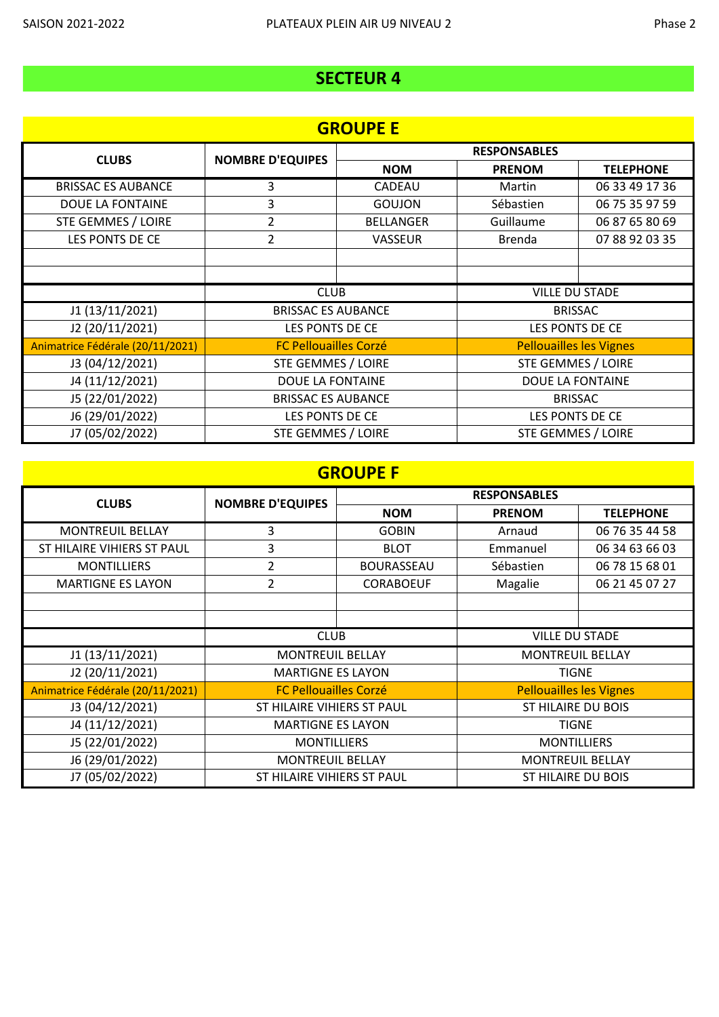| <b>GROUPE E</b>                  |                              |                     |                                |                  |  |
|----------------------------------|------------------------------|---------------------|--------------------------------|------------------|--|
| <b>CLUBS</b>                     | <b>NOMBRE D'EQUIPES</b>      | <b>RESPONSABLES</b> |                                |                  |  |
|                                  |                              | <b>NOM</b>          | <b>PRENOM</b>                  | <b>TELEPHONE</b> |  |
| <b>BRISSAC ES AUBANCE</b>        | 3                            | <b>CADEAU</b>       | Martin                         | 06 33 49 17 36   |  |
| DOUE LA FONTAINE                 | 3                            | <b>GOUJON</b>       | Sébastien                      | 06 75 35 97 59   |  |
| STE GEMMES / LOIRE               | 2                            | <b>BELLANGER</b>    | Guillaume                      | 06 87 65 80 69   |  |
| LES PONTS DE CE                  | $\overline{2}$               | <b>VASSEUR</b>      | <b>Brenda</b>                  | 07 88 92 03 35   |  |
|                                  |                              |                     |                                |                  |  |
|                                  |                              |                     |                                |                  |  |
|                                  | <b>CLUB</b>                  |                     | <b>VILLE DU STADE</b>          |                  |  |
| J1 (13/11/2021)                  | <b>BRISSAC ES AUBANCE</b>    |                     |                                | <b>BRISSAC</b>   |  |
| J2 (20/11/2021)                  | LES PONTS DE CE              |                     | LES PONTS DE CE                |                  |  |
| Animatrice Fédérale (20/11/2021) | <b>FC Pellouailles Corzé</b> |                     | <b>Pellouailles les Vignes</b> |                  |  |
| J3 (04/12/2021)                  | STE GEMMES / LOIRE           |                     | <b>STE GEMMES / LOIRE</b>      |                  |  |
| J4 (11/12/2021)                  | DOUE LA FONTAINE             |                     | DOUE LA FONTAINE               |                  |  |
| J5 (22/01/2022)                  | <b>BRISSAC ES AUBANCE</b>    |                     | <b>BRISSAC</b>                 |                  |  |
| J6 (29/01/2022)                  | LES PONTS DE CE              |                     | LES PONTS DE CE                |                  |  |
| J7 (05/02/2022)                  | <b>STE GEMMES / LOIRE</b>    |                     | STE GEMMES / LOIRE             |                  |  |

### **GROUPE F**

| <b>CLUBS</b>                     | <b>NOMBRE D'EQUIPES</b>      | <b>RESPONSABLES</b> |                                |                  |
|----------------------------------|------------------------------|---------------------|--------------------------------|------------------|
|                                  |                              | <b>NOM</b>          | <b>PRENOM</b>                  | <b>TELEPHONE</b> |
| <b>MONTREUIL BELLAY</b>          | 3                            | <b>GOBIN</b>        | Arnaud                         | 06 76 35 44 58   |
| ST HILAIRE VIHIERS ST PAUL       | 3                            | <b>BLOT</b>         | Emmanuel                       | 06 34 63 66 03   |
| <b>MONTILLIERS</b>               | $\overline{2}$               | <b>BOURASSEAU</b>   | Sébastien                      | 06 78 15 68 01   |
| <b>MARTIGNE ES LAYON</b>         | $\overline{2}$               | <b>CORABOEUF</b>    | Magalie                        | 06 21 45 07 27   |
|                                  |                              |                     |                                |                  |
|                                  |                              |                     |                                |                  |
|                                  | <b>CLUB</b>                  |                     | <b>VILLE DU STADE</b>          |                  |
| J1 (13/11/2021)                  | <b>MONTREUIL BELLAY</b>      |                     | <b>MONTREUIL BELLAY</b>        |                  |
| J2 (20/11/2021)                  | <b>MARTIGNE ES LAYON</b>     |                     | <b>TIGNE</b>                   |                  |
| Animatrice Fédérale (20/11/2021) | <b>FC Pellouailles Corzé</b> |                     | <b>Pellouailles les Vignes</b> |                  |
| J3 (04/12/2021)                  | ST HILAIRE VIHIERS ST PAUL   |                     | ST HILAIRE DU BOIS             |                  |
| J4 (11/12/2021)                  | <b>MARTIGNE ES LAYON</b>     |                     | <b>TIGNE</b>                   |                  |
| J5 (22/01/2022)                  | <b>MONTILLIERS</b>           |                     | <b>MONTILLIERS</b>             |                  |
| J6 (29/01/2022)                  | <b>MONTREUIL BELLAY</b>      |                     | <b>MONTREUIL BELLAY</b>        |                  |
| J7 (05/02/2022)                  | ST HILAIRE VIHIERS ST PAUL   |                     | ST HILAIRE DU BOIS             |                  |